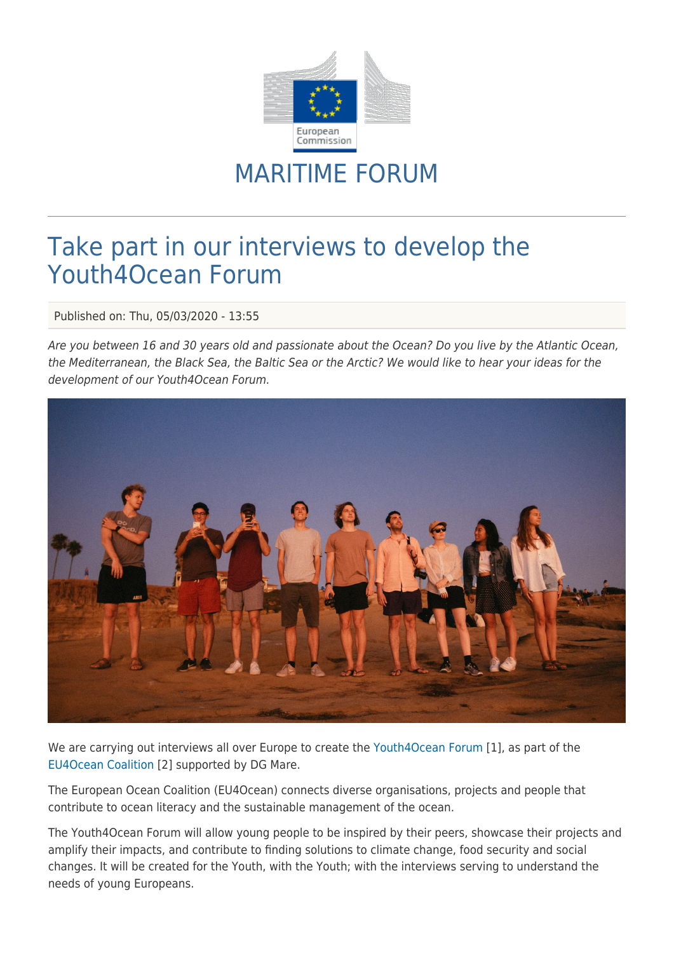

## MARITIME FORUM

## Take part in our interviews to develop the Youth4Ocean Forum

Published on: Thu, 05/03/2020 - 13:55

Are you between 16 and 30 years old and passionate about the Ocean? Do you live by the Atlantic Ocean, the Mediterranean, the Black Sea, the Baltic Sea or the Arctic? We would like to hear your ideas for the development of our Youth4Ocean Forum.



We are carrying out interviews all over Europe to create the [Youth4Ocean Forum](https://webgate.ec.europa.eu/maritimeforum/en/frontpage/1484) [1], as part of the [EU4Ocean Coalition](https://webgate.ec.europa.eu/maritimeforum/en/frontpage/1482) [2] supported by DG Mare.

The European Ocean Coalition (EU4Ocean) connects diverse organisations, projects and people that contribute to ocean literacy and the sustainable management of the ocean.

The Youth4Ocean Forum will allow young people to be inspired by their peers, showcase their projects and amplify their impacts, and contribute to finding solutions to climate change, food security and social changes. It will be created for the Youth, with the Youth; with the interviews serving to understand the needs of young Europeans.